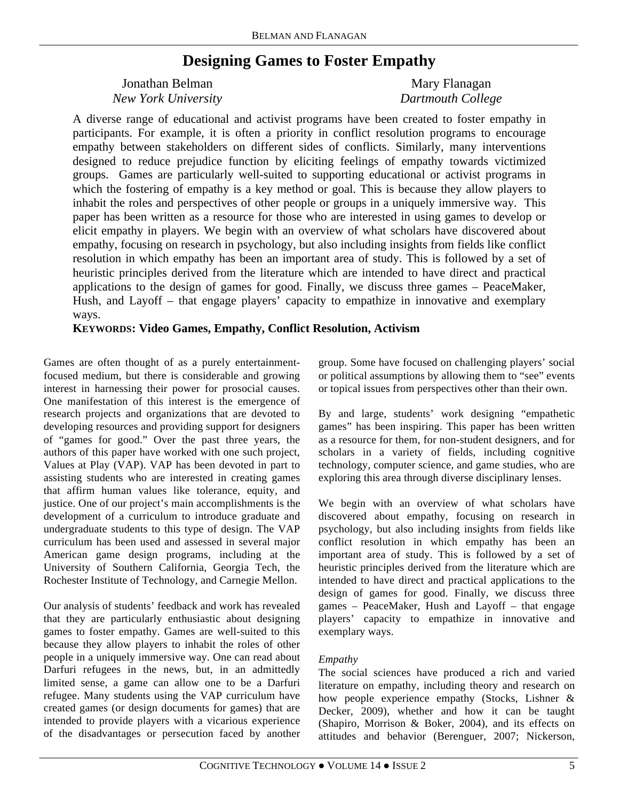# **Designing Games to Foster Empathy**

Jonathan Belman *New York University* 

Mary Flanagan *Dartmouth College* 

A diverse range of educational and activist programs have been created to foster empathy in participants. For example, it is often a priority in conflict resolution programs to encourage empathy between stakeholders on different sides of conflicts. Similarly, many interventions designed to reduce prejudice function by eliciting feelings of empathy towards victimized groups. Games are particularly well-suited to supporting educational or activist programs in which the fostering of empathy is a key method or goal. This is because they allow players to inhabit the roles and perspectives of other people or groups in a uniquely immersive way. This paper has been written as a resource for those who are interested in using games to develop or elicit empathy in players. We begin with an overview of what scholars have discovered about empathy, focusing on research in psychology, but also including insights from fields like conflict resolution in which empathy has been an important area of study. This is followed by a set of heuristic principles derived from the literature which are intended to have direct and practical applications to the design of games for good. Finally, we discuss three games – PeaceMaker, Hush, and Layoff – that engage players' capacity to empathize in innovative and exemplary ways.

**KEYWORDS: Video Games, Empathy, Conflict Resolution, Activism**

Games are often thought of as a purely entertainmentfocused medium, but there is considerable and growing interest in harnessing their power for prosocial causes. One manifestation of this interest is the emergence of research projects and organizations that are devoted to developing resources and providing support for designers of "games for good." Over the past three years, the authors of this paper have worked with one such project, Values at Play (VAP). VAP has been devoted in part to assisting students who are interested in creating games that affirm human values like tolerance, equity, and justice. One of our project's main accomplishments is the development of a curriculum to introduce graduate and undergraduate students to this type of design. The VAP curriculum has been used and assessed in several major American game design programs, including at the University of Southern California, Georgia Tech, the Rochester Institute of Technology, and Carnegie Mellon.

Our analysis of students' feedback and work has revealed that they are particularly enthusiastic about designing games to foster empathy. Games are well-suited to this because they allow players to inhabit the roles of other people in a uniquely immersive way. One can read about Darfuri refugees in the news, but, in an admittedly limited sense, a game can allow one to be a Darfuri refugee. Many students using the VAP curriculum have created games (or design documents for games) that are intended to provide players with a vicarious experience of the disadvantages or persecution faced by another

group. Some have focused on challenging players' social or political assumptions by allowing them to "see" events or topical issues from perspectives other than their own.

By and large, students' work designing "empathetic games" has been inspiring. This paper has been written as a resource for them, for non-student designers, and for scholars in a variety of fields, including cognitive technology, computer science, and game studies, who are exploring this area through diverse disciplinary lenses.

We begin with an overview of what scholars have discovered about empathy, focusing on research in psychology, but also including insights from fields like conflict resolution in which empathy has been an important area of study. This is followed by a set of heuristic principles derived from the literature which are intended to have direct and practical applications to the design of games for good. Finally, we discuss three games – PeaceMaker, Hush and Layoff – that engage players' capacity to empathize in innovative and exemplary ways.

# *Empathy*

The social sciences have produced a rich and varied literature on empathy, including theory and research on how people experience empathy (Stocks, Lishner & Decker, 2009), whether and how it can be taught (Shapiro, Morrison & Boker, 2004), and its effects on attitudes and behavior (Berenguer, 2007; Nickerson,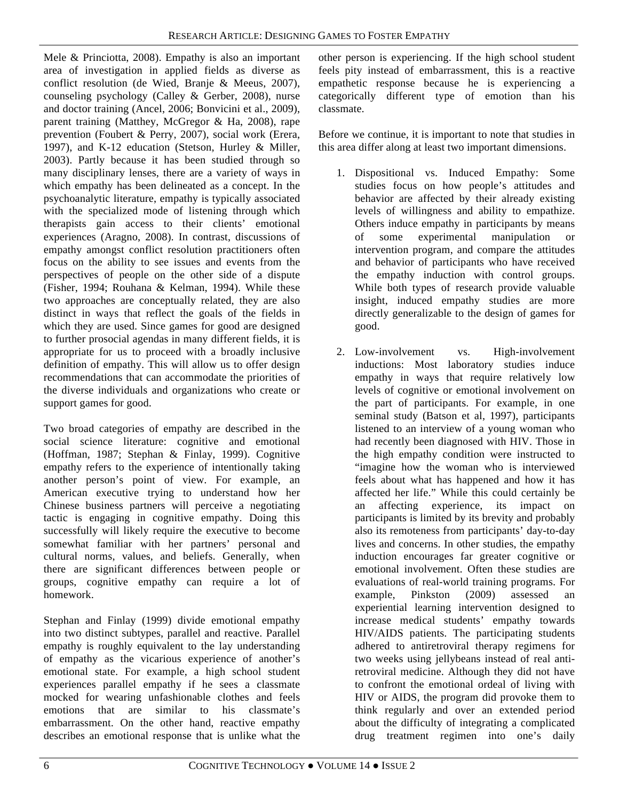Mele & Princiotta, 2008). Empathy is also an important area of investigation in applied fields as diverse as conflict resolution (de Wied, Branje & Meeus, 2007), counseling psychology (Calley & Gerber, 2008), nurse and doctor training (Ancel, 2006; Bonvicini et al., 2009), parent training (Matthey, McGregor & Ha, 2008), rape prevention (Foubert & Perry, 2007), social work (Erera, 1997), and K-12 education (Stetson, Hurley & Miller, 2003). Partly because it has been studied through so many disciplinary lenses, there are a variety of ways in which empathy has been delineated as a concept. In the psychoanalytic literature, empathy is typically associated with the specialized mode of listening through which therapists gain access to their clients' emotional experiences (Aragno, 2008). In contrast, discussions of empathy amongst conflict resolution practitioners often focus on the ability to see issues and events from the perspectives of people on the other side of a dispute (Fisher, 1994; Rouhana & Kelman, 1994). While these two approaches are conceptually related, they are also distinct in ways that reflect the goals of the fields in which they are used. Since games for good are designed to further prosocial agendas in many different fields, it is appropriate for us to proceed with a broadly inclusive definition of empathy. This will allow us to offer design recommendations that can accommodate the priorities of the diverse individuals and organizations who create or support games for good.

Two broad categories of empathy are described in the social science literature: cognitive and emotional (Hoffman, 1987; Stephan & Finlay, 1999). Cognitive empathy refers to the experience of intentionally taking another person's point of view. For example, an American executive trying to understand how her Chinese business partners will perceive a negotiating tactic is engaging in cognitive empathy. Doing this successfully will likely require the executive to become somewhat familiar with her partners' personal and cultural norms, values, and beliefs. Generally, when there are significant differences between people or groups, cognitive empathy can require a lot of homework.

Stephan and Finlay (1999) divide emotional empathy into two distinct subtypes, parallel and reactive. Parallel empathy is roughly equivalent to the lay understanding of empathy as the vicarious experience of another's emotional state. For example, a high school student experiences parallel empathy if he sees a classmate mocked for wearing unfashionable clothes and feels emotions that are similar to his classmate's embarrassment. On the other hand, reactive empathy describes an emotional response that is unlike what the other person is experiencing. If the high school student feels pity instead of embarrassment, this is a reactive empathetic response because he is experiencing a categorically different type of emotion than his classmate.

Before we continue, it is important to note that studies in this area differ along at least two important dimensions.

- 1. Dispositional vs. Induced Empathy: Some studies focus on how people's attitudes and behavior are affected by their already existing levels of willingness and ability to empathize. Others induce empathy in participants by means of some experimental manipulation or intervention program, and compare the attitudes and behavior of participants who have received the empathy induction with control groups. While both types of research provide valuable insight, induced empathy studies are more directly generalizable to the design of games for good.
- 2. Low-involvement vs. High-involvement inductions: Most laboratory studies induce empathy in ways that require relatively low levels of cognitive or emotional involvement on the part of participants. For example, in one seminal study (Batson et al, 1997), participants listened to an interview of a young woman who had recently been diagnosed with HIV. Those in the high empathy condition were instructed to "imagine how the woman who is interviewed feels about what has happened and how it has affected her life." While this could certainly be an affecting experience, its impact on participants is limited by its brevity and probably also its remoteness from participants' day-to-day lives and concerns. In other studies, the empathy induction encourages far greater cognitive or emotional involvement. Often these studies are evaluations of real-world training programs. For example, Pinkston (2009) assessed an experiential learning intervention designed to increase medical students' empathy towards HIV/AIDS patients. The participating students adhered to antiretroviral therapy regimens for two weeks using jellybeans instead of real antiretroviral medicine. Although they did not have to confront the emotional ordeal of living with HIV or AIDS, the program did provoke them to think regularly and over an extended period about the difficulty of integrating a complicated drug treatment regimen into one's daily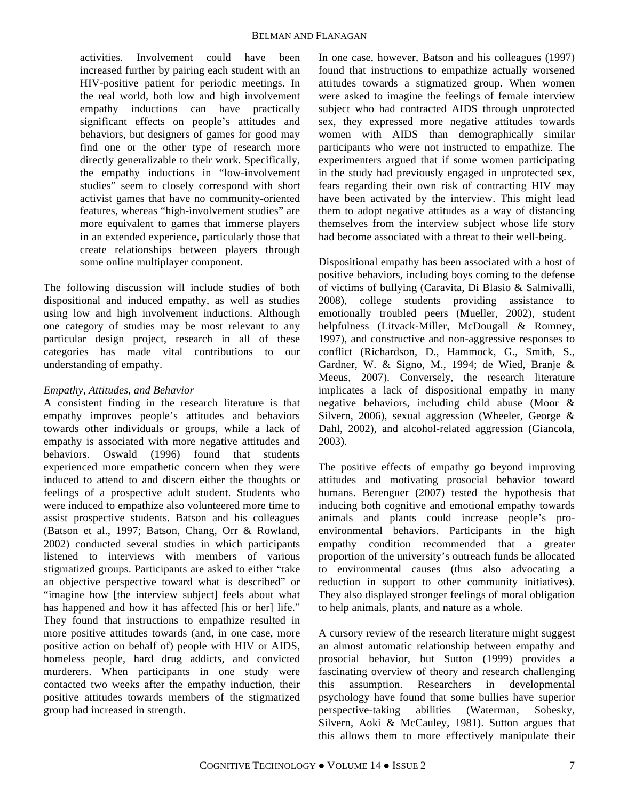activities. Involvement could have been increased further by pairing each student with an HIV-positive patient for periodic meetings. In the real world, both low and high involvement empathy inductions can have practically significant effects on people's attitudes and behaviors, but designers of games for good may find one or the other type of research more directly generalizable to their work. Specifically, the empathy inductions in "low-involvement studies" seem to closely correspond with short activist games that have no community-oriented features, whereas "high-involvement studies" are more equivalent to games that immerse players in an extended experience, particularly those that create relationships between players through some online multiplayer component.

The following discussion will include studies of both dispositional and induced empathy, as well as studies using low and high involvement inductions. Although one category of studies may be most relevant to any particular design project, research in all of these categories has made vital contributions to our understanding of empathy.

### *Empathy, Attitudes, and Behavior*

A consistent finding in the research literature is that empathy improves people's attitudes and behaviors towards other individuals or groups, while a lack of empathy is associated with more negative attitudes and behaviors. Oswald (1996) found that students experienced more empathetic concern when they were induced to attend to and discern either the thoughts or feelings of a prospective adult student. Students who were induced to empathize also volunteered more time to assist prospective students. Batson and his colleagues (Batson et al., 1997; Batson, Chang, Orr & Rowland, 2002) conducted several studies in which participants listened to interviews with members of various stigmatized groups. Participants are asked to either "take an objective perspective toward what is described" or "imagine how [the interview subject] feels about what has happened and how it has affected [his or her] life." They found that instructions to empathize resulted in more positive attitudes towards (and, in one case, more positive action on behalf of) people with HIV or AIDS, homeless people, hard drug addicts, and convicted murderers. When participants in one study were contacted two weeks after the empathy induction, their positive attitudes towards members of the stigmatized group had increased in strength.

In one case, however, Batson and his colleagues (1997) found that instructions to empathize actually worsened attitudes towards a stigmatized group. When women were asked to imagine the feelings of female interview subject who had contracted AIDS through unprotected sex, they expressed more negative attitudes towards women with AIDS than demographically similar participants who were not instructed to empathize. The experimenters argued that if some women participating in the study had previously engaged in unprotected sex, fears regarding their own risk of contracting HIV may have been activated by the interview. This might lead them to adopt negative attitudes as a way of distancing themselves from the interview subject whose life story had become associated with a threat to their well-being.

Dispositional empathy has been associated with a host of positive behaviors, including boys coming to the defense of victims of bullying (Caravita, Di Blasio & Salmivalli, 2008), college students providing assistance to emotionally troubled peers (Mueller, 2002), student helpfulness (Litvack-Miller, McDougall & Romney, 1997), and constructive and non-aggressive responses to conflict (Richardson, D., Hammock, G., Smith, S., Gardner, W. & Signo, M., 1994; de Wied, Branje & Meeus, 2007). Conversely, the research literature implicates a lack of dispositional empathy in many negative behaviors, including child abuse (Moor & Silvern, 2006), sexual aggression (Wheeler, George & Dahl, 2002), and alcohol-related aggression (Giancola, 2003).

The positive effects of empathy go beyond improving attitudes and motivating prosocial behavior toward humans. Berenguer (2007) tested the hypothesis that inducing both cognitive and emotional empathy towards animals and plants could increase people's proenvironmental behaviors. Participants in the high empathy condition recommended that a greater proportion of the university's outreach funds be allocated to environmental causes (thus also advocating a reduction in support to other community initiatives). They also displayed stronger feelings of moral obligation to help animals, plants, and nature as a whole.

A cursory review of the research literature might suggest an almost automatic relationship between empathy and prosocial behavior, but Sutton (1999) provides a fascinating overview of theory and research challenging this assumption. Researchers in developmental psychology have found that some bullies have superior perspective-taking abilities (Waterman, Sobesky, Silvern, Aoki & McCauley, 1981). Sutton argues that this allows them to more effectively manipulate their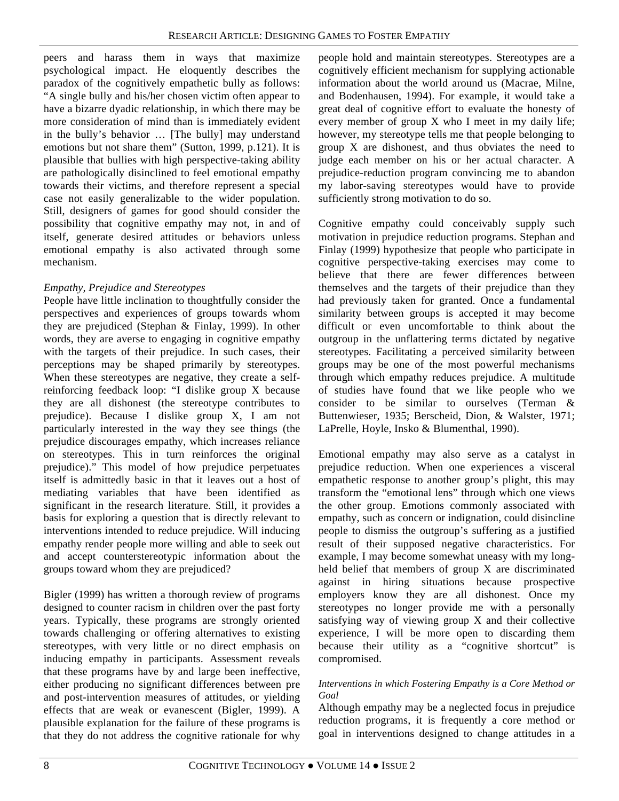peers and harass them in ways that maximize psychological impact. He eloquently describes the paradox of the cognitively empathetic bully as follows: "A single bully and his/her chosen victim often appear to have a bizarre dyadic relationship, in which there may be more consideration of mind than is immediately evident in the bully's behavior … [The bully] may understand emotions but not share them" (Sutton, 1999, p.121). It is plausible that bullies with high perspective-taking ability are pathologically disinclined to feel emotional empathy towards their victims, and therefore represent a special case not easily generalizable to the wider population. Still, designers of games for good should consider the possibility that cognitive empathy may not, in and of itself, generate desired attitudes or behaviors unless emotional empathy is also activated through some mechanism.

### *Empathy, Prejudice and Stereotypes*

People have little inclination to thoughtfully consider the perspectives and experiences of groups towards whom they are prejudiced (Stephan & Finlay, 1999). In other words, they are averse to engaging in cognitive empathy with the targets of their prejudice. In such cases, their perceptions may be shaped primarily by stereotypes. When these stereotypes are negative, they create a selfreinforcing feedback loop: "I dislike group X because they are all dishonest (the stereotype contributes to prejudice). Because I dislike group X, I am not particularly interested in the way they see things (the prejudice discourages empathy, which increases reliance on stereotypes. This in turn reinforces the original prejudice)." This model of how prejudice perpetuates itself is admittedly basic in that it leaves out a host of mediating variables that have been identified as significant in the research literature. Still, it provides a basis for exploring a question that is directly relevant to interventions intended to reduce prejudice. Will inducing empathy render people more willing and able to seek out and accept counterstereotypic information about the groups toward whom they are prejudiced?

Bigler (1999) has written a thorough review of programs designed to counter racism in children over the past forty years. Typically, these programs are strongly oriented towards challenging or offering alternatives to existing stereotypes, with very little or no direct emphasis on inducing empathy in participants. Assessment reveals that these programs have by and large been ineffective, either producing no significant differences between pre and post-intervention measures of attitudes, or yielding effects that are weak or evanescent (Bigler, 1999). A plausible explanation for the failure of these programs is that they do not address the cognitive rationale for why

people hold and maintain stereotypes. Stereotypes are a cognitively efficient mechanism for supplying actionable information about the world around us (Macrae, Milne, and Bodenhausen, 1994). For example, it would take a great deal of cognitive effort to evaluate the honesty of every member of group X who I meet in my daily life; however, my stereotype tells me that people belonging to group X are dishonest, and thus obviates the need to judge each member on his or her actual character. A prejudice-reduction program convincing me to abandon my labor-saving stereotypes would have to provide sufficiently strong motivation to do so.

Cognitive empathy could conceivably supply such motivation in prejudice reduction programs. Stephan and Finlay (1999) hypothesize that people who participate in cognitive perspective-taking exercises may come to believe that there are fewer differences between themselves and the targets of their prejudice than they had previously taken for granted. Once a fundamental similarity between groups is accepted it may become difficult or even uncomfortable to think about the outgroup in the unflattering terms dictated by negative stereotypes. Facilitating a perceived similarity between groups may be one of the most powerful mechanisms through which empathy reduces prejudice. A multitude of studies have found that we like people who we consider to be similar to ourselves (Terman & Buttenwieser, 1935; Berscheid, Dion, & Walster, 1971; LaPrelle, Hoyle, Insko & Blumenthal, 1990).

Emotional empathy may also serve as a catalyst in prejudice reduction. When one experiences a visceral empathetic response to another group's plight, this may transform the "emotional lens" through which one views the other group. Emotions commonly associated with empathy, such as concern or indignation, could disincline people to dismiss the outgroup's suffering as a justified result of their supposed negative characteristics. For example, I may become somewhat uneasy with my longheld belief that members of group X are discriminated against in hiring situations because prospective employers know they are all dishonest. Once my stereotypes no longer provide me with a personally satisfying way of viewing group X and their collective experience, I will be more open to discarding them because their utility as a "cognitive shortcut" is compromised.

#### *Interventions in which Fostering Empathy is a Core Method or Goal*

Although empathy may be a neglected focus in prejudice reduction programs, it is frequently a core method or goal in interventions designed to change attitudes in a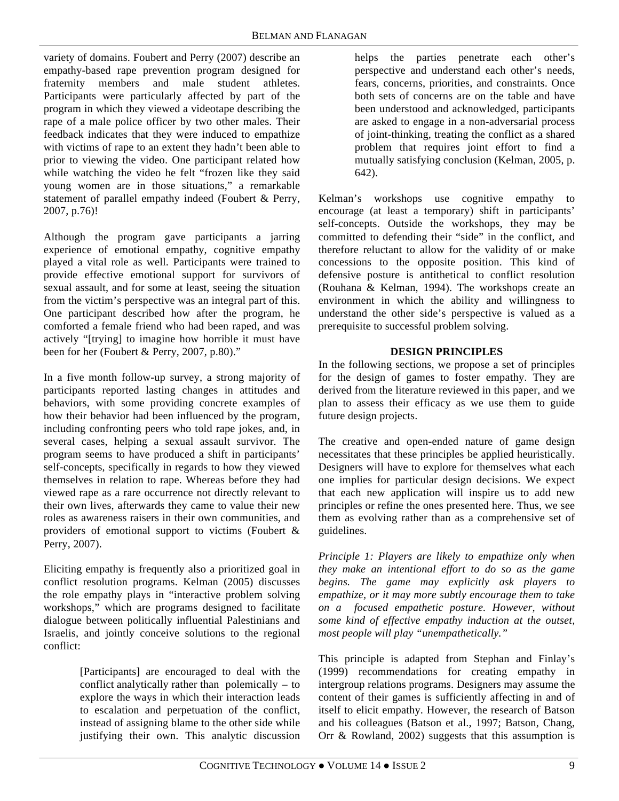variety of domains. Foubert and Perry (2007) describe an empathy-based rape prevention program designed for fraternity members and male student athletes. Participants were particularly affected by part of the program in which they viewed a videotape describing the rape of a male police officer by two other males. Their feedback indicates that they were induced to empathize with victims of rape to an extent they hadn't been able to prior to viewing the video. One participant related how while watching the video he felt "frozen like they said young women are in those situations," a remarkable statement of parallel empathy indeed (Foubert & Perry, 2007, p.76)!

Although the program gave participants a jarring experience of emotional empathy, cognitive empathy played a vital role as well. Participants were trained to provide effective emotional support for survivors of sexual assault, and for some at least, seeing the situation from the victim's perspective was an integral part of this. One participant described how after the program, he comforted a female friend who had been raped, and was actively "[trying] to imagine how horrible it must have been for her (Foubert & Perry, 2007, p.80)."

In a five month follow-up survey, a strong majority of participants reported lasting changes in attitudes and behaviors, with some providing concrete examples of how their behavior had been influenced by the program, including confronting peers who told rape jokes, and, in several cases, helping a sexual assault survivor. The program seems to have produced a shift in participants' self-concepts, specifically in regards to how they viewed themselves in relation to rape. Whereas before they had viewed rape as a rare occurrence not directly relevant to their own lives, afterwards they came to value their new roles as awareness raisers in their own communities, and providers of emotional support to victims (Foubert & Perry, 2007).

Eliciting empathy is frequently also a prioritized goal in conflict resolution programs. Kelman (2005) discusses the role empathy plays in "interactive problem solving workshops," which are programs designed to facilitate dialogue between politically influential Palestinians and Israelis, and jointly conceive solutions to the regional conflict:

> [Participants] are encouraged to deal with the conflict analytically rather than polemically – to explore the ways in which their interaction leads to escalation and perpetuation of the conflict, instead of assigning blame to the other side while justifying their own. This analytic discussion

helps the parties penetrate each other's perspective and understand each other's needs, fears, concerns, priorities, and constraints. Once both sets of concerns are on the table and have been understood and acknowledged, participants are asked to engage in a non-adversarial process of joint-thinking, treating the conflict as a shared problem that requires joint effort to find a mutually satisfying conclusion (Kelman, 2005, p. 642).

Kelman's workshops use cognitive empathy to encourage (at least a temporary) shift in participants' self-concepts. Outside the workshops, they may be committed to defending their "side" in the conflict, and therefore reluctant to allow for the validity of or make concessions to the opposite position. This kind of defensive posture is antithetical to conflict resolution (Rouhana & Kelman, 1994). The workshops create an environment in which the ability and willingness to understand the other side's perspective is valued as a prerequisite to successful problem solving.

# **DESIGN PRINCIPLES**

In the following sections, we propose a set of principles for the design of games to foster empathy. They are derived from the literature reviewed in this paper, and we plan to assess their efficacy as we use them to guide future design projects.

The creative and open-ended nature of game design necessitates that these principles be applied heuristically. Designers will have to explore for themselves what each one implies for particular design decisions. We expect that each new application will inspire us to add new principles or refine the ones presented here. Thus, we see them as evolving rather than as a comprehensive set of guidelines.

*Principle 1: Players are likely to empathize only when they make an intentional effort to do so as the game begins. The game may explicitly ask players to empathize, or it may more subtly encourage them to take on a focused empathetic posture. However, without some kind of effective empathy induction at the outset, most people will play "unempathetically."* 

This principle is adapted from Stephan and Finlay's (1999) recommendations for creating empathy in intergroup relations programs. Designers may assume the content of their games is sufficiently affecting in and of itself to elicit empathy. However, the research of Batson and his colleagues (Batson et al., 1997; Batson, Chang, Orr & Rowland, 2002) suggests that this assumption is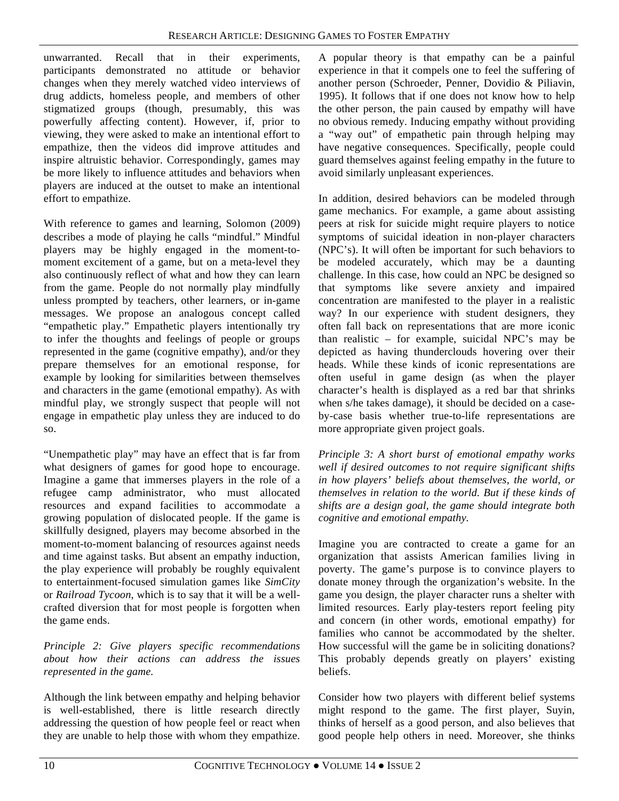unwarranted. Recall that in their experiments, participants demonstrated no attitude or behavior changes when they merely watched video interviews of drug addicts, homeless people, and members of other stigmatized groups (though, presumably, this was powerfully affecting content). However, if, prior to viewing, they were asked to make an intentional effort to empathize, then the videos did improve attitudes and inspire altruistic behavior. Correspondingly, games may be more likely to influence attitudes and behaviors when players are induced at the outset to make an intentional effort to empathize.

With reference to games and learning, Solomon (2009) describes a mode of playing he calls "mindful." Mindful players may be highly engaged in the moment-tomoment excitement of a game, but on a meta-level they also continuously reflect of what and how they can learn from the game. People do not normally play mindfully unless prompted by teachers, other learners, or in-game messages. We propose an analogous concept called "empathetic play." Empathetic players intentionally try to infer the thoughts and feelings of people or groups represented in the game (cognitive empathy), and/or they prepare themselves for an emotional response, for example by looking for similarities between themselves and characters in the game (emotional empathy). As with mindful play, we strongly suspect that people will not engage in empathetic play unless they are induced to do so.

"Unempathetic play" may have an effect that is far from what designers of games for good hope to encourage. Imagine a game that immerses players in the role of a refugee camp administrator, who must allocated resources and expand facilities to accommodate a growing population of dislocated people. If the game is skillfully designed, players may become absorbed in the moment-to-moment balancing of resources against needs and time against tasks. But absent an empathy induction, the play experience will probably be roughly equivalent to entertainment-focused simulation games like *SimCity* or *Railroad Tycoon*, which is to say that it will be a wellcrafted diversion that for most people is forgotten when the game ends.

*Principle 2: Give players specific recommendations about how their actions can address the issues represented in the game.* 

Although the link between empathy and helping behavior is well-established, there is little research directly addressing the question of how people feel or react when they are unable to help those with whom they empathize.

A popular theory is that empathy can be a painful experience in that it compels one to feel the suffering of another person (Schroeder, Penner, Dovidio & Piliavin, 1995). It follows that if one does not know how to help the other person, the pain caused by empathy will have no obvious remedy. Inducing empathy without providing a "way out" of empathetic pain through helping may have negative consequences. Specifically, people could guard themselves against feeling empathy in the future to avoid similarly unpleasant experiences.

In addition, desired behaviors can be modeled through game mechanics. For example, a game about assisting peers at risk for suicide might require players to notice symptoms of suicidal ideation in non-player characters (NPC's). It will often be important for such behaviors to be modeled accurately, which may be a daunting challenge. In this case, how could an NPC be designed so that symptoms like severe anxiety and impaired concentration are manifested to the player in a realistic way? In our experience with student designers, they often fall back on representations that are more iconic than realistic – for example, suicidal NPC's may be depicted as having thunderclouds hovering over their heads. While these kinds of iconic representations are often useful in game design (as when the player character's health is displayed as a red bar that shrinks when s/he takes damage), it should be decided on a caseby-case basis whether true-to-life representations are more appropriate given project goals.

*Principle 3: A short burst of emotional empathy works well if desired outcomes to not require significant shifts in how players' beliefs about themselves, the world, or themselves in relation to the world. But if these kinds of shifts are a design goal, the game should integrate both cognitive and emotional empathy.* 

Imagine you are contracted to create a game for an organization that assists American families living in poverty. The game's purpose is to convince players to donate money through the organization's website. In the game you design, the player character runs a shelter with limited resources. Early play-testers report feeling pity and concern (in other words, emotional empathy) for families who cannot be accommodated by the shelter. How successful will the game be in soliciting donations? This probably depends greatly on players' existing beliefs.

Consider how two players with different belief systems might respond to the game. The first player, Suyin, thinks of herself as a good person, and also believes that good people help others in need. Moreover, she thinks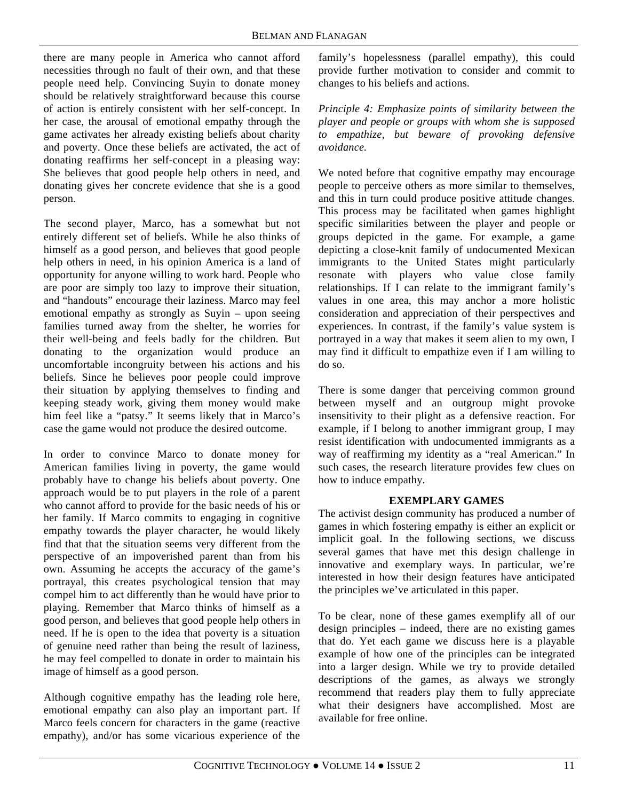there are many people in America who cannot afford necessities through no fault of their own, and that these people need help. Convincing Suyin to donate money should be relatively straightforward because this course of action is entirely consistent with her self-concept. In her case, the arousal of emotional empathy through the game activates her already existing beliefs about charity and poverty. Once these beliefs are activated, the act of donating reaffirms her self-concept in a pleasing way: She believes that good people help others in need, and donating gives her concrete evidence that she is a good person.

The second player, Marco, has a somewhat but not entirely different set of beliefs. While he also thinks of himself as a good person, and believes that good people help others in need, in his opinion America is a land of opportunity for anyone willing to work hard. People who are poor are simply too lazy to improve their situation, and "handouts" encourage their laziness. Marco may feel emotional empathy as strongly as Suyin – upon seeing families turned away from the shelter, he worries for their well-being and feels badly for the children. But donating to the organization would produce an uncomfortable incongruity between his actions and his beliefs. Since he believes poor people could improve their situation by applying themselves to finding and keeping steady work, giving them money would make him feel like a "patsy." It seems likely that in Marco's case the game would not produce the desired outcome.

In order to convince Marco to donate money for American families living in poverty, the game would probably have to change his beliefs about poverty. One approach would be to put players in the role of a parent who cannot afford to provide for the basic needs of his or her family. If Marco commits to engaging in cognitive empathy towards the player character, he would likely find that that the situation seems very different from the perspective of an impoverished parent than from his own. Assuming he accepts the accuracy of the game's portrayal, this creates psychological tension that may compel him to act differently than he would have prior to playing. Remember that Marco thinks of himself as a good person, and believes that good people help others in need. If he is open to the idea that poverty is a situation of genuine need rather than being the result of laziness, he may feel compelled to donate in order to maintain his image of himself as a good person.

Although cognitive empathy has the leading role here, emotional empathy can also play an important part. If Marco feels concern for characters in the game (reactive empathy), and/or has some vicarious experience of the family's hopelessness (parallel empathy), this could provide further motivation to consider and commit to changes to his beliefs and actions.

*Principle 4: Emphasize points of similarity between the player and people or groups with whom she is supposed to empathize, but beware of provoking defensive avoidance.* 

We noted before that cognitive empathy may encourage people to perceive others as more similar to themselves, and this in turn could produce positive attitude changes. This process may be facilitated when games highlight specific similarities between the player and people or groups depicted in the game. For example, a game depicting a close-knit family of undocumented Mexican immigrants to the United States might particularly resonate with players who value close family relationships. If I can relate to the immigrant family's values in one area, this may anchor a more holistic consideration and appreciation of their perspectives and experiences. In contrast, if the family's value system is portrayed in a way that makes it seem alien to my own, I may find it difficult to empathize even if I am willing to do so.

There is some danger that perceiving common ground between myself and an outgroup might provoke insensitivity to their plight as a defensive reaction. For example, if I belong to another immigrant group, I may resist identification with undocumented immigrants as a way of reaffirming my identity as a "real American." In such cases, the research literature provides few clues on how to induce empathy.

# **EXEMPLARY GAMES**

The activist design community has produced a number of games in which fostering empathy is either an explicit or implicit goal. In the following sections, we discuss several games that have met this design challenge in innovative and exemplary ways. In particular, we're interested in how their design features have anticipated the principles we've articulated in this paper.

To be clear, none of these games exemplify all of our design principles – indeed, there are no existing games that do. Yet each game we discuss here is a playable example of how one of the principles can be integrated into a larger design. While we try to provide detailed descriptions of the games, as always we strongly recommend that readers play them to fully appreciate what their designers have accomplished. Most are available for free online.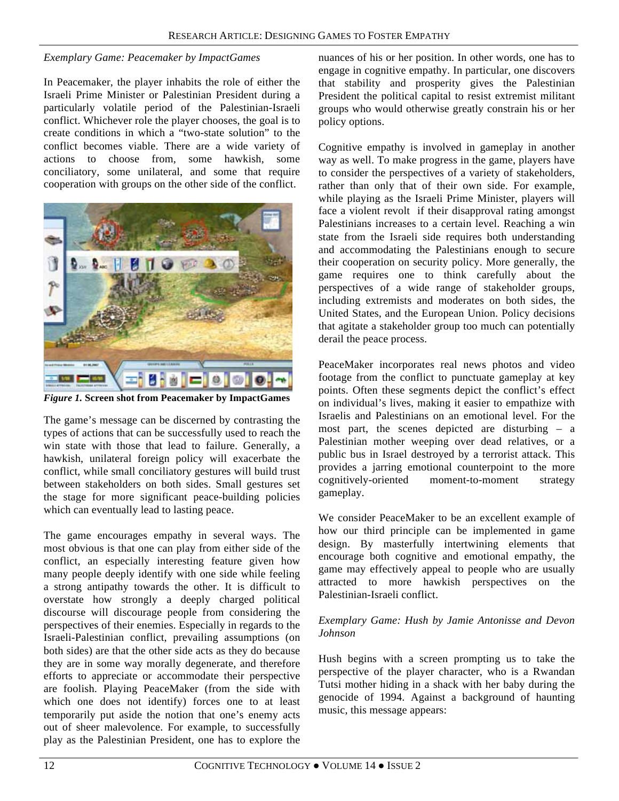#### *Exemplary Game: Peacemaker by ImpactGames*

In Peacemaker, the player inhabits the role of either the Israeli Prime Minister or Palestinian President during a particularly volatile period of the Palestinian-Israeli conflict. Whichever role the player chooses, the goal is to create conditions in which a "two-state solution" to the conflict becomes viable. There are a wide variety of actions to choose from, some hawkish, some conciliatory, some unilateral, and some that require cooperation with groups on the other side of the conflict.



*Figure 1.* **Screen shot from Peacemaker by ImpactGames** 

The game's message can be discerned by contrasting the types of actions that can be successfully used to reach the win state with those that lead to failure. Generally, a hawkish, unilateral foreign policy will exacerbate the conflict, while small conciliatory gestures will build trust between stakeholders on both sides. Small gestures set the stage for more significant peace-building policies which can eventually lead to lasting peace.

The game encourages empathy in several ways. The most obvious is that one can play from either side of the conflict, an especially interesting feature given how many people deeply identify with one side while feeling a strong antipathy towards the other. It is difficult to overstate how strongly a deeply charged political discourse will discourage people from considering the perspectives of their enemies. Especially in regards to the Israeli-Palestinian conflict, prevailing assumptions (on both sides) are that the other side acts as they do because they are in some way morally degenerate, and therefore efforts to appreciate or accommodate their perspective are foolish. Playing PeaceMaker (from the side with which one does not identify) forces one to at least temporarily put aside the notion that one's enemy acts out of sheer malevolence. For example, to successfully play as the Palestinian President, one has to explore the

nuances of his or her position. In other words, one has to engage in cognitive empathy. In particular, one discovers that stability and prosperity gives the Palestinian President the political capital to resist extremist militant groups who would otherwise greatly constrain his or her policy options.

Cognitive empathy is involved in gameplay in another way as well. To make progress in the game, players have to consider the perspectives of a variety of stakeholders, rather than only that of their own side. For example, while playing as the Israeli Prime Minister, players will face a violent revolt if their disapproval rating amongst Palestinians increases to a certain level. Reaching a win state from the Israeli side requires both understanding and accommodating the Palestinians enough to secure their cooperation on security policy. More generally, the game requires one to think carefully about the perspectives of a wide range of stakeholder groups, including extremists and moderates on both sides, the United States, and the European Union. Policy decisions that agitate a stakeholder group too much can potentially derail the peace process.

PeaceMaker incorporates real news photos and video footage from the conflict to punctuate gameplay at key points. Often these segments depict the conflict's effect on individual's lives, making it easier to empathize with Israelis and Palestinians on an emotional level. For the most part, the scenes depicted are disturbing – a Palestinian mother weeping over dead relatives, or a public bus in Israel destroyed by a terrorist attack. This provides a jarring emotional counterpoint to the more cognitively-oriented moment-to-moment strategy gameplay.

We consider PeaceMaker to be an excellent example of how our third principle can be implemented in game design. By masterfully intertwining elements that encourage both cognitive and emotional empathy, the game may effectively appeal to people who are usually attracted to more hawkish perspectives on the Palestinian-Israeli conflict.

#### *Exemplary Game: Hush by Jamie Antonisse and Devon Johnson*

Hush begins with a screen prompting us to take the perspective of the player character, who is a Rwandan Tutsi mother hiding in a shack with her baby during the genocide of 1994. Against a background of haunting music, this message appears: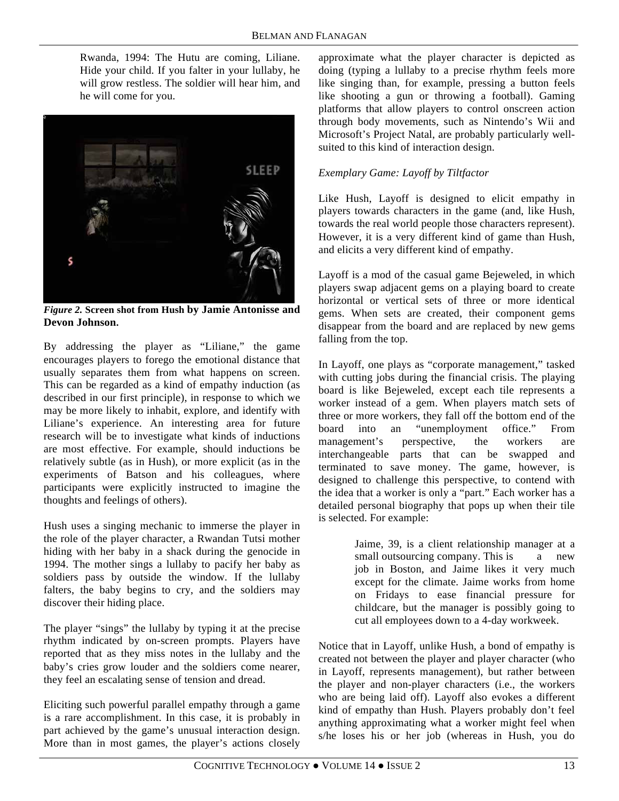Rwanda, 1994: The Hutu are coming, Liliane. Hide your child. If you falter in your lullaby, he will grow restless. The soldier will hear him, and he will come for you.



*Figure 2.* **Screen shot from Hush by Jamie Antonisse and Devon Johnson.** 

By addressing the player as "Liliane," the game encourages players to forego the emotional distance that usually separates them from what happens on screen. This can be regarded as a kind of empathy induction (as described in our first principle), in response to which we may be more likely to inhabit, explore, and identify with Liliane's experience. An interesting area for future research will be to investigate what kinds of inductions are most effective. For example, should inductions be relatively subtle (as in Hush), or more explicit (as in the experiments of Batson and his colleagues, where participants were explicitly instructed to imagine the thoughts and feelings of others).

Hush uses a singing mechanic to immerse the player in the role of the player character, a Rwandan Tutsi mother hiding with her baby in a shack during the genocide in 1994. The mother sings a lullaby to pacify her baby as soldiers pass by outside the window. If the lullaby falters, the baby begins to cry, and the soldiers may discover their hiding place.

The player "sings" the lullaby by typing it at the precise rhythm indicated by on-screen prompts. Players have reported that as they miss notes in the lullaby and the baby's cries grow louder and the soldiers come nearer, they feel an escalating sense of tension and dread.

Eliciting such powerful parallel empathy through a game is a rare accomplishment. In this case, it is probably in part achieved by the game's unusual interaction design. More than in most games, the player's actions closely

approximate what the player character is depicted as doing (typing a lullaby to a precise rhythm feels more like singing than, for example, pressing a button feels like shooting a gun or throwing a football). Gaming platforms that allow players to control onscreen action through body movements, such as Nintendo's Wii and Microsoft's Project Natal, are probably particularly wellsuited to this kind of interaction design.

# *Exemplary Game: Layoff by Tiltfactor*

Like Hush, Layoff is designed to elicit empathy in players towards characters in the game (and, like Hush, towards the real world people those characters represent). However, it is a very different kind of game than Hush, and elicits a very different kind of empathy.

Layoff is a mod of the casual game Bejeweled, in which players swap adjacent gems on a playing board to create horizontal or vertical sets of three or more identical gems. When sets are created, their component gems disappear from the board and are replaced by new gems falling from the top.

In Layoff, one plays as "corporate management," tasked with cutting jobs during the financial crisis. The playing board is like Bejeweled, except each tile represents a worker instead of a gem. When players match sets of three or more workers, they fall off the bottom end of the board into an "unemployment office." From management's perspective, the workers are interchangeable parts that can be swapped and terminated to save money. The game, however, is designed to challenge this perspective, to contend with the idea that a worker is only a "part." Each worker has a detailed personal biography that pops up when their tile is selected. For example:

> Jaime, 39, is a client relationship manager at a small outsourcing company. This is a new job in Boston, and Jaime likes it very much except for the climate. Jaime works from home on Fridays to ease financial pressure for childcare, but the manager is possibly going to cut all employees down to a 4-day workweek.

Notice that in Layoff, unlike Hush, a bond of empathy is created not between the player and player character (who in Layoff, represents management), but rather between the player and non-player characters (i.e., the workers who are being laid off). Layoff also evokes a different kind of empathy than Hush. Players probably don't feel anything approximating what a worker might feel when s/he loses his or her job (whereas in Hush, you do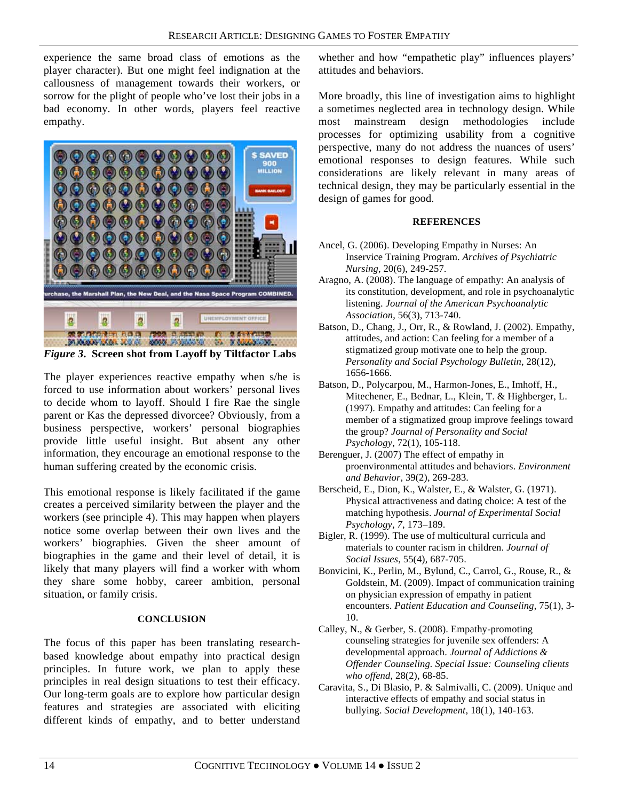experience the same broad class of emotions as the player character). But one might feel indignation at the callousness of management towards their workers, or sorrow for the plight of people who've lost their jobs in a bad economy. In other words, players feel reactive empathy.



*Figure 3***. Screen shot from Layoff by Tiltfactor Labs** 

The player experiences reactive empathy when s/he is forced to use information about workers' personal lives to decide whom to layoff. Should I fire Rae the single parent or Kas the depressed divorcee? Obviously, from a business perspective, workers' personal biographies provide little useful insight. But absent any other information, they encourage an emotional response to the human suffering created by the economic crisis.

This emotional response is likely facilitated if the game creates a perceived similarity between the player and the workers (see principle 4). This may happen when players notice some overlap between their own lives and the workers' biographies. Given the sheer amount of biographies in the game and their level of detail, it is likely that many players will find a worker with whom they share some hobby, career ambition, personal situation, or family crisis.

#### **CONCLUSION**

The focus of this paper has been translating researchbased knowledge about empathy into practical design principles. In future work, we plan to apply these principles in real design situations to test their efficacy. Our long-term goals are to explore how particular design features and strategies are associated with eliciting different kinds of empathy, and to better understand

whether and how "empathetic play" influences players' attitudes and behaviors.

More broadly, this line of investigation aims to highlight a sometimes neglected area in technology design. While most mainstream design methodologies include processes for optimizing usability from a cognitive perspective, many do not address the nuances of users' emotional responses to design features. While such considerations are likely relevant in many areas of technical design, they may be particularly essential in the design of games for good.

#### **REFERENCES**

- Ancel, G. (2006). Developing Empathy in Nurses: An Inservice Training Program. *Archives of Psychiatric Nursing*, 20(6), 249-257.
- Aragno, A. (2008). The language of empathy: An analysis of its constitution, development, and role in psychoanalytic listening. *Journal of the American Psychoanalytic Association*, 56(3), 713-740.
- Batson, D., Chang, J., Orr, R., & Rowland, J. (2002). Empathy, attitudes, and action: Can feeling for a member of a stigmatized group motivate one to help the group. *Personality and Social Psychology Bulletin*, 28(12), 1656-1666.
- Batson, D., Polycarpou, M., Harmon-Jones, E., Imhoff, H., Mitechener, E., Bednar, L., Klein, T. & Highberger, L. (1997). Empathy and attitudes: Can feeling for a member of a stigmatized group improve feelings toward the group? *Journal of Personality and Social Psychology*, 72(1), 105-118.
- Berenguer, J. (2007) The effect of empathy in proenvironmental attitudes and behaviors. *Environment and Behavior*, 39(2), 269-283.
- Berscheid, E., Dion, K., Walster, E., & Walster, G. (1971). Physical attractiveness and dating choice: A test of the matching hypothesis. *Journal of Experimental Social Psychology, 7*, 173–189.
- Bigler, R. (1999). The use of multicultural curricula and materials to counter racism in children. *Journal of Social Issues*, 55(4), 687-705.
- Bonvicini, K., Perlin, M., Bylund, C., Carrol, G., Rouse, R., & Goldstein, M. (2009). Impact of communication training on physician expression of empathy in patient encounters. *Patient Education and Counseling*, 75(1), 3- 10.
- Calley, N., & Gerber, S. (2008). Empathy-promoting counseling strategies for juvenile sex offenders: A developmental approach. *Journal of Addictions & Offender Counseling. Special Issue: Counseling clients who offend*, 28(2), 68-85.
- Caravita, S., Di Blasio, P. & Salmivalli, C. (2009). Unique and interactive effects of empathy and social status in bullying. *Social Development*, 18(1), 140-163.